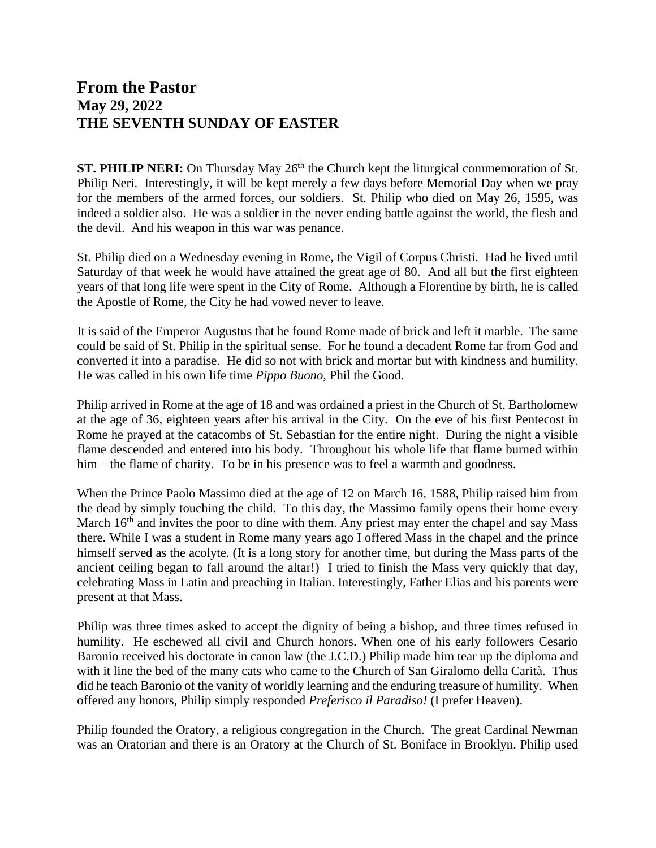## **From the Pastor May 29, 2022 THE SEVENTH SUNDAY OF EASTER**

**ST. PHILIP NERI:** On Thursday May 26<sup>th</sup> the Church kept the liturgical commemoration of St. Philip Neri. Interestingly, it will be kept merely a few days before Memorial Day when we pray for the members of the armed forces, our soldiers. St. Philip who died on May 26, 1595, was indeed a soldier also. He was a soldier in the never ending battle against the world, the flesh and the devil. And his weapon in this war was penance.

St. Philip died on a Wednesday evening in Rome, the Vigil of Corpus Christi. Had he lived until Saturday of that week he would have attained the great age of 80. And all but the first eighteen years of that long life were spent in the City of Rome. Although a Florentine by birth, he is called the Apostle of Rome, the City he had vowed never to leave.

It is said of the Emperor Augustus that he found Rome made of brick and left it marble. The same could be said of St. Philip in the spiritual sense. For he found a decadent Rome far from God and converted it into a paradise. He did so not with brick and mortar but with kindness and humility. He was called in his own life time *Pippo Buono,* Phil the Good.

Philip arrived in Rome at the age of 18 and was ordained a priest in the Church of St. Bartholomew at the age of 36, eighteen years after his arrival in the City. On the eve of his first Pentecost in Rome he prayed at the catacombs of St. Sebastian for the entire night. During the night a visible flame descended and entered into his body. Throughout his whole life that flame burned within him – the flame of charity. To be in his presence was to feel a warmth and goodness.

When the Prince Paolo Massimo died at the age of 12 on March 16, 1588, Philip raised him from the dead by simply touching the child. To this day, the Massimo family opens their home every March 16<sup>th</sup> and invites the poor to dine with them. Any priest may enter the chapel and say Mass there. While I was a student in Rome many years ago I offered Mass in the chapel and the prince himself served as the acolyte. (It is a long story for another time, but during the Mass parts of the ancient ceiling began to fall around the altar!) I tried to finish the Mass very quickly that day, celebrating Mass in Latin and preaching in Italian. Interestingly, Father Elias and his parents were present at that Mass.

Philip was three times asked to accept the dignity of being a bishop, and three times refused in humility. He eschewed all civil and Church honors. When one of his early followers Cesario Baronio received his doctorate in canon law (the J.C.D.) Philip made him tear up the diploma and with it line the bed of the many cats who came to the Church of San Giralomo della Carità. Thus did he teach Baronio of the vanity of worldly learning and the enduring treasure of humility. When offered any honors, Philip simply responded *Preferisco il Paradiso!* (I prefer Heaven).

Philip founded the Oratory, a religious congregation in the Church. The great Cardinal Newman was an Oratorian and there is an Oratory at the Church of St. Boniface in Brooklyn. Philip used